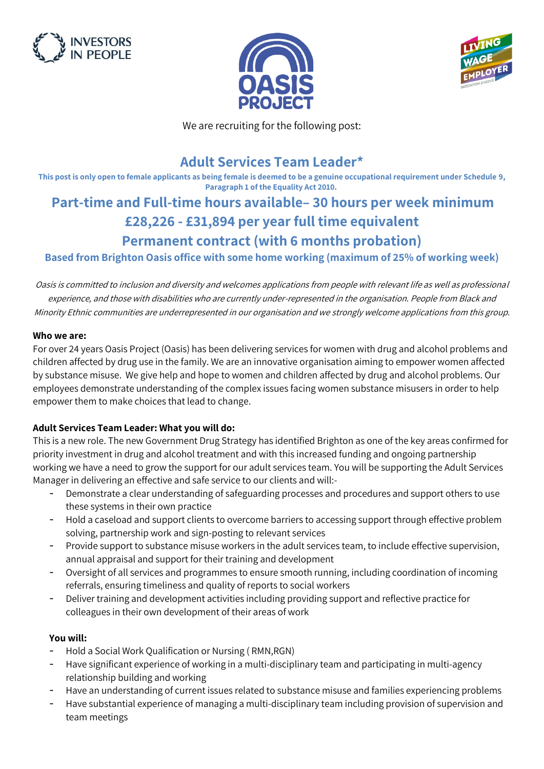





We are recruiting for the following post:

## **Adult Services Team Leader\***

**This post is only open to female applicants as being female is deemed to be a genuine occupational requirement under Schedule 9, Paragraph 1 of the Equality Act 2010.**

# **Part-time and Full-time hours available– 30 hours per week minimum £28,226 - £31,894 per year full time equivalent Permanent contract (with 6 months probation)**

**Based from Brighton Oasis office with some home working (maximum of 25% of working week)**

Oasis is committed to inclusion and diversity and welcomes applications from people with relevant life as well as professional experience, and those with disabilities who are currently under-represented in the organisation. People from Black and Minority Ethnic communities are underrepresented in our organisation and we strongly welcome applications from this group.

#### **Who we are:**

For over 24 years Oasis Project (Oasis) has been delivering services for women with drug and alcohol problems and children affected by drug use in the family. We are an innovative organisation aiming to empower women affected by substance misuse. We give help and hope to women and children affected by drug and alcohol problems. Our employees demonstrate understanding of the complex issues facing women substance misusers in order to help empower them to make choices that lead to change.

#### **Adult Services Team Leader: What you will do:**

This is a new role. The new Government Drug Strategy has identified Brighton as one of the key areas confirmed for priority investment in drug and alcohol treatment and with this increased funding and ongoing partnership working we have a need to grow the support for our adult services team. You will be supporting the Adult Services Manager in delivering an effective and safe service to our clients and will:-

- Demonstrate a clear understanding of safeguarding processes and procedures and support others to use these systems in their own practice
- Hold a caseload and support clients to overcome barriers to accessing support through effective problem solving, partnership work and sign-posting to relevant services
- Provide support to substance misuse workers in the adult services team, to include effective supervision, annual appraisal and support for their training and development
- Oversight of all services and programmes to ensure smooth running, including coordination of incoming referrals, ensuring timeliness and quality of reports to social workers
- Deliver training and development activities including providing support and reflective practice for colleagues in their own development of their areas of work

#### **You will:**

- Hold a Social Work Qualification or Nursing ( RMN,RGN)
- Have significant experience of working in a multi-disciplinary team and participating in multi-agency relationship building and working
- Have an understanding of current issues related to substance misuse and families experiencing problems
- Have substantial experience of managing a multi-disciplinary team including provision of supervision and team meetings